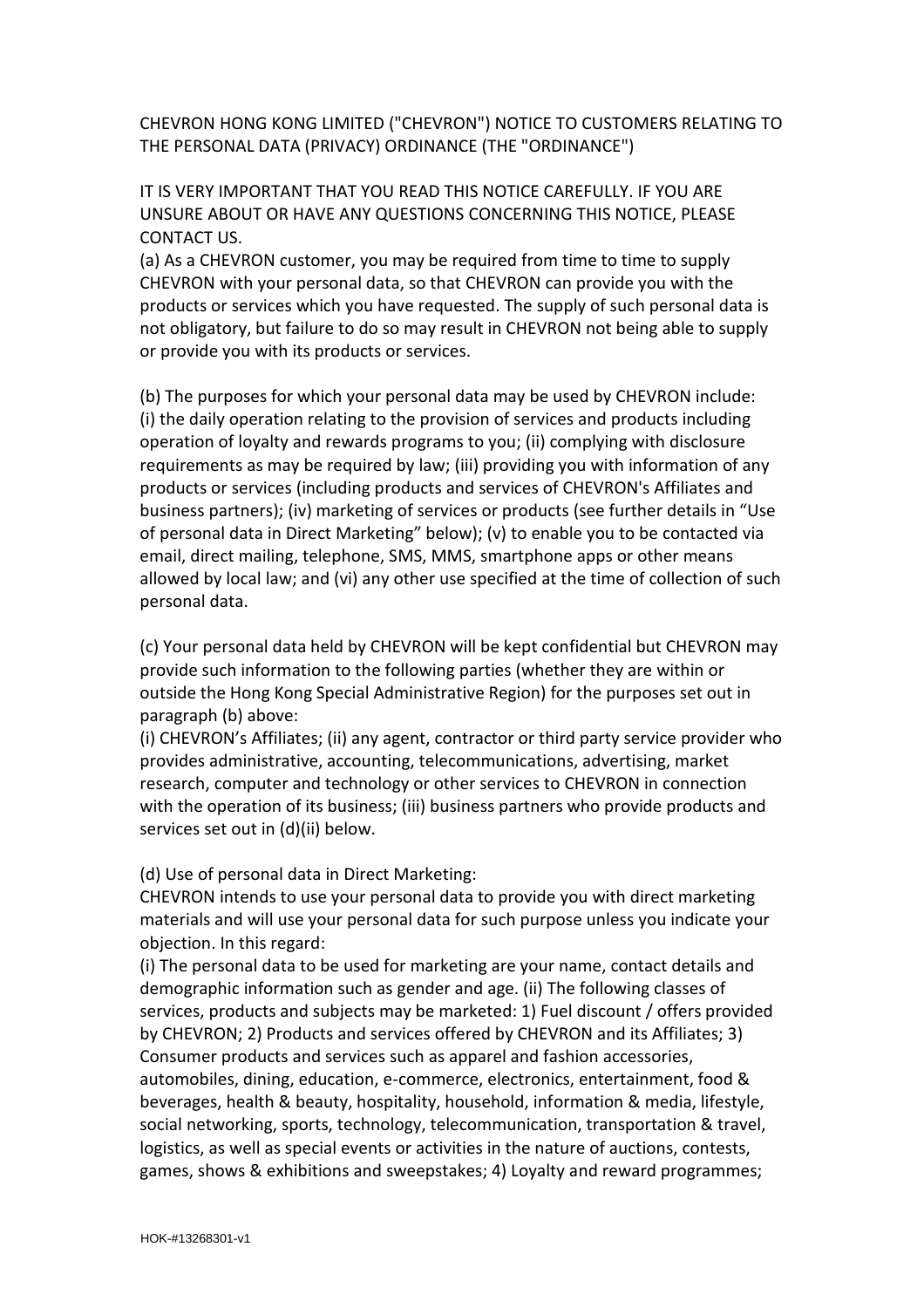CHEVRON HONG KONG LIMITED ("CHEVRON") NOTICE TO CUSTOMERS RELATING TO THE PERSONAL DATA (PRIVACY) ORDINANCE (THE "ORDINANCE")

IT IS VERY IMPORTANT THAT YOU READ THIS NOTICE CAREFULLY. IF YOU ARE UNSURE ABOUT OR HAVE ANY QUESTIONS CONCERNING THIS NOTICE, PLEASE CONTACT US.

(a) As a CHEVRON customer, you may be required from time to time to supply CHEVRON with your personal data, so that CHEVRON can provide you with the products or services which you have requested. The supply of such personal data is not obligatory, but failure to do so may result in CHEVRON not being able to supply or provide you with its products or services.

(b) The purposes for which your personal data may be used by CHEVRON include: (i) the daily operation relating to the provision of services and products including operation of loyalty and rewards programs to you; (ii) complying with disclosure requirements as may be required by law; (iii) providing you with information of any products or services (including products and services of CHEVRON's Affiliates and business partners); (iv) marketing of services or products (see further details in "Use of personal data in Direct Marketing" below); (v) to enable you to be contacted via email, direct mailing, telephone, SMS, MMS, smartphone apps or other means allowed by local law; and (vi) any other use specified at the time of collection of such personal data.

(c) Your personal data held by CHEVRON will be kept confidential but CHEVRON may provide such information to the following parties (whether they are within or outside the Hong Kong Special Administrative Region) for the purposes set out in paragraph (b) above:

(i) CHEVRON's Affiliates; (ii) any agent, contractor or third party service provider who provides administrative, accounting, telecommunications, advertising, market research, computer and technology or other services to CHEVRON in connection with the operation of its business; (iii) business partners who provide products and services set out in (d)(ii) below.

## (d) Use of personal data in Direct Marketing:

CHEVRON intends to use your personal data to provide you with direct marketing materials and will use your personal data for such purpose unless you indicate your objection. In this regard:

(i) The personal data to be used for marketing are your name, contact details and demographic information such as gender and age. (ii) The following classes of services, products and subjects may be marketed: 1) Fuel discount / offers provided by CHEVRON; 2) Products and services offered by CHEVRON and its Affiliates; 3) Consumer products and services such as apparel and fashion accessories, automobiles, dining, education, e-commerce, electronics, entertainment, food & beverages, health & beauty, hospitality, household, information & media, lifestyle, social networking, sports, technology, telecommunication, transportation & travel, logistics, as well as special events or activities in the nature of auctions, contests, games, shows & exhibitions and sweepstakes; 4) Loyalty and reward programmes;